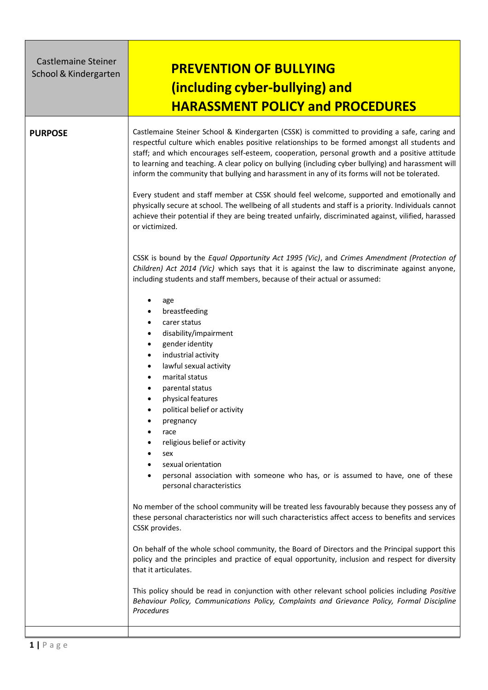| <b>Castlemaine Steiner</b><br>School & Kindergarten | <b>PREVENTION OF BULLYING</b><br>(including cyber-bullying) and<br><b>HARASSMENT POLICY and PROCEDURES</b>                                                                                                                                                                                                                                                                                                                                                                                                                                                                                                                                                                                                                                                                                                                                                                                                                                                                                                                                                                                                                                                                                                                                                                                                                                                                                                                                                                                                                                                                                                                                                                                                                                                                                                                                                                                                                                                                                                                                                                                                                                                       |
|-----------------------------------------------------|------------------------------------------------------------------------------------------------------------------------------------------------------------------------------------------------------------------------------------------------------------------------------------------------------------------------------------------------------------------------------------------------------------------------------------------------------------------------------------------------------------------------------------------------------------------------------------------------------------------------------------------------------------------------------------------------------------------------------------------------------------------------------------------------------------------------------------------------------------------------------------------------------------------------------------------------------------------------------------------------------------------------------------------------------------------------------------------------------------------------------------------------------------------------------------------------------------------------------------------------------------------------------------------------------------------------------------------------------------------------------------------------------------------------------------------------------------------------------------------------------------------------------------------------------------------------------------------------------------------------------------------------------------------------------------------------------------------------------------------------------------------------------------------------------------------------------------------------------------------------------------------------------------------------------------------------------------------------------------------------------------------------------------------------------------------------------------------------------------------------------------------------------------------|
| <b>PURPOSE</b>                                      | Castlemaine Steiner School & Kindergarten (CSSK) is committed to providing a safe, caring and<br>respectful culture which enables positive relationships to be formed amongst all students and<br>staff; and which encourages self-esteem, cooperation, personal growth and a positive attitude<br>to learning and teaching. A clear policy on bullying (including cyber bullying) and harassment will<br>inform the community that bullying and harassment in any of its forms will not be tolerated.<br>Every student and staff member at CSSK should feel welcome, supported and emotionally and<br>physically secure at school. The wellbeing of all students and staff is a priority. Individuals cannot<br>achieve their potential if they are being treated unfairly, discriminated against, vilified, harassed<br>or victimized.<br>CSSK is bound by the Equal Opportunity Act 1995 (Vic), and Crimes Amendment (Protection of<br>Children) Act 2014 (Vic) which says that it is against the law to discriminate against anyone,<br>including students and staff members, because of their actual or assumed:<br>age<br>breastfeeding<br>٠<br>carer status<br>٠<br>disability/impairment<br>٠<br>gender identity<br>٠<br>industrial activity<br>$\bullet$<br>lawful sexual activity<br>٠<br>marital status<br>parental status<br>physical features<br>political belief or activity<br>pregnancy<br>race<br>religious belief or activity<br>٠<br>sex<br>٠<br>sexual orientation<br>personal association with someone who has, or is assumed to have, one of these<br>personal characteristics<br>No member of the school community will be treated less favourably because they possess any of<br>these personal characteristics nor will such characteristics affect access to benefits and services<br>CSSK provides.<br>On behalf of the whole school community, the Board of Directors and the Principal support this<br>policy and the principles and practice of equal opportunity, inclusion and respect for diversity<br>that it articulates.<br>This policy should be read in conjunction with other relevant school policies including Positive |
|                                                     | Behaviour Policy, Communications Policy, Complaints and Grievance Policy, Formal Discipline<br>Procedures                                                                                                                                                                                                                                                                                                                                                                                                                                                                                                                                                                                                                                                                                                                                                                                                                                                                                                                                                                                                                                                                                                                                                                                                                                                                                                                                                                                                                                                                                                                                                                                                                                                                                                                                                                                                                                                                                                                                                                                                                                                        |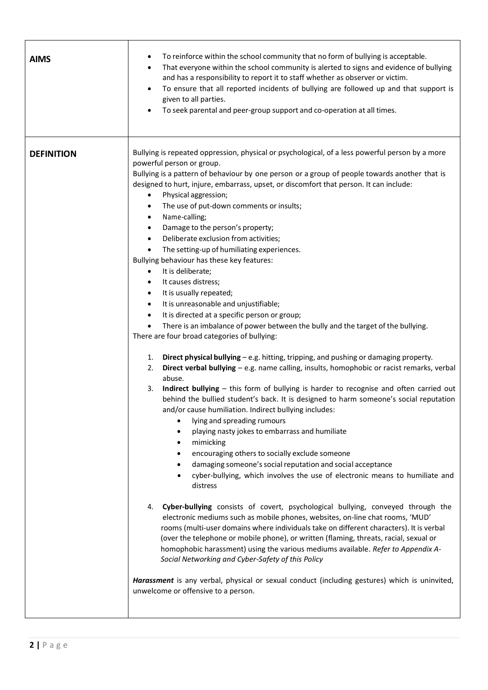| <b>AIMS</b>       | To reinforce within the school community that no form of bullying is acceptable.<br>That everyone within the school community is alerted to signs and evidence of bullying<br>and has a responsibility to report it to staff whether as observer or victim.<br>To ensure that all reported incidents of bullying are followed up and that support is<br>$\bullet$<br>given to all parties.<br>To seek parental and peer-group support and co-operation at all times.                                                                                                                                                                                                                                                                                                                                                                                                                                                                                                                                                                                                                                                                                                                                                                                                                                                                                                                                                                                                                                                                                                                                                                                                                                                                                                                                                                                                                                                                                                                                                                                                                                                                                                                                                                                                                                                                                                                                                                                       |
|-------------------|------------------------------------------------------------------------------------------------------------------------------------------------------------------------------------------------------------------------------------------------------------------------------------------------------------------------------------------------------------------------------------------------------------------------------------------------------------------------------------------------------------------------------------------------------------------------------------------------------------------------------------------------------------------------------------------------------------------------------------------------------------------------------------------------------------------------------------------------------------------------------------------------------------------------------------------------------------------------------------------------------------------------------------------------------------------------------------------------------------------------------------------------------------------------------------------------------------------------------------------------------------------------------------------------------------------------------------------------------------------------------------------------------------------------------------------------------------------------------------------------------------------------------------------------------------------------------------------------------------------------------------------------------------------------------------------------------------------------------------------------------------------------------------------------------------------------------------------------------------------------------------------------------------------------------------------------------------------------------------------------------------------------------------------------------------------------------------------------------------------------------------------------------------------------------------------------------------------------------------------------------------------------------------------------------------------------------------------------------------------------------------------------------------------------------------------------------------|
| <b>DEFINITION</b> | Bullying is repeated oppression, physical or psychological, of a less powerful person by a more<br>powerful person or group.<br>Bullying is a pattern of behaviour by one person or a group of people towards another that is<br>designed to hurt, injure, embarrass, upset, or discomfort that person. It can include:<br>Physical aggression;<br>The use of put-down comments or insults;<br>٠<br>Name-calling;<br>$\bullet$<br>Damage to the person's property;<br>$\bullet$<br>Deliberate exclusion from activities;<br>$\bullet$<br>The setting-up of humiliating experiences.<br>$\bullet$<br>Bullying behaviour has these key features:<br>It is deliberate;<br>$\bullet$<br>It causes distress;<br>٠<br>It is usually repeated;<br>$\bullet$<br>It is unreasonable and unjustifiable;<br>$\bullet$<br>It is directed at a specific person or group;<br>$\bullet$<br>There is an imbalance of power between the bully and the target of the bullying.<br>There are four broad categories of bullying:<br>1. Direct physical bullying - e.g. hitting, tripping, and pushing or damaging property.<br>Direct verbal bullying - e.g. name calling, insults, homophobic or racist remarks, verbal<br>2.<br>abuse.<br>Indirect bullying - this form of bullying is harder to recognise and often carried out<br>3.<br>behind the bullied student's back. It is designed to harm someone's social reputation<br>and/or cause humiliation. Indirect bullying includes:<br>lying and spreading rumours<br>$\bullet$<br>playing nasty jokes to embarrass and humiliate<br>mimicking<br>٠<br>encouraging others to socially exclude someone<br>٠<br>damaging someone's social reputation and social acceptance<br>cyber-bullying, which involves the use of electronic means to humiliate and<br>٠<br>distress<br>Cyber-bullying consists of covert, psychological bullying, conveyed through the<br>4.<br>electronic mediums such as mobile phones, websites, on-line chat rooms, 'MUD'<br>rooms (multi-user domains where individuals take on different characters). It is verbal<br>(over the telephone or mobile phone), or written (flaming, threats, racial, sexual or<br>homophobic harassment) using the various mediums available. Refer to Appendix A-<br>Social Networking and Cyber-Safety of this Policy<br>Harassment is any verbal, physical or sexual conduct (including gestures) which is uninvited,<br>unwelcome or offensive to a person. |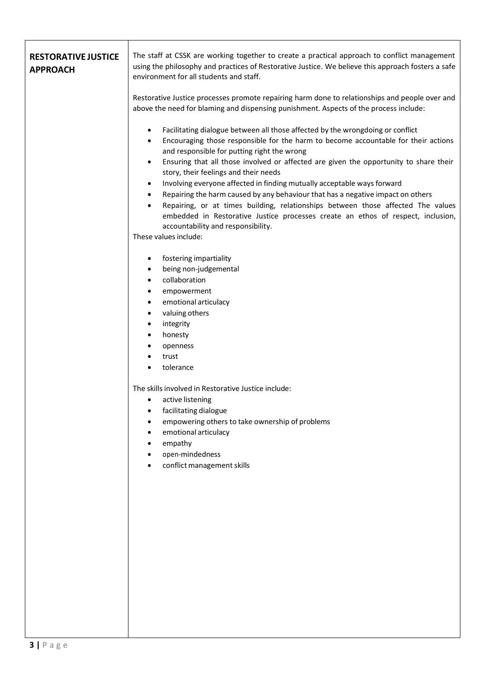| The staff at CSSK are working together to create a practical approach to conflict management<br>using the philosophy and practices of Restorative Justice. We believe this approach fosters a safe<br>environment for all students and staff.                                                                                                                                                                                                                                                                                                                                                                                                                                                                                                                                                                                    |
|----------------------------------------------------------------------------------------------------------------------------------------------------------------------------------------------------------------------------------------------------------------------------------------------------------------------------------------------------------------------------------------------------------------------------------------------------------------------------------------------------------------------------------------------------------------------------------------------------------------------------------------------------------------------------------------------------------------------------------------------------------------------------------------------------------------------------------|
| Restorative Justice processes promote repairing harm done to relationships and people over and<br>above the need for blaming and dispensing punishment. Aspects of the process include:                                                                                                                                                                                                                                                                                                                                                                                                                                                                                                                                                                                                                                          |
| Facilitating dialogue between all those affected by the wrongdoing or conflict<br>٠<br>Encouraging those responsible for the harm to become accountable for their actions<br>$\bullet$<br>and responsible for putting right the wrong<br>Ensuring that all those involved or affected are given the opportunity to share their<br>$\bullet$<br>story, their feelings and their needs<br>Involving everyone affected in finding mutually acceptable ways forward<br>$\bullet$<br>Repairing the harm caused by any behaviour that has a negative impact on others<br>$\bullet$<br>Repairing, or at times building, relationships between those affected The values<br>$\bullet$<br>embedded in Restorative Justice processes create an ethos of respect, inclusion,<br>accountability and responsibility.<br>These values include: |
| fostering impartiality<br>being non-judgemental<br>$\bullet$<br>collaboration<br>$\bullet$<br>empowerment<br>$\bullet$<br>emotional articulacy<br>$\bullet$<br>valuing others<br>$\bullet$<br>integrity<br>$\bullet$<br>honesty<br>openness<br>trust<br>tolerance                                                                                                                                                                                                                                                                                                                                                                                                                                                                                                                                                                |
| The skills involved in Restorative Justice include:<br>active listening<br>٠<br>facilitating dialogue<br>٠<br>empowering others to take ownership of problems<br>emotional articulacy<br>٠<br>empathy<br>open-mindedness<br>conflict management skills                                                                                                                                                                                                                                                                                                                                                                                                                                                                                                                                                                           |
|                                                                                                                                                                                                                                                                                                                                                                                                                                                                                                                                                                                                                                                                                                                                                                                                                                  |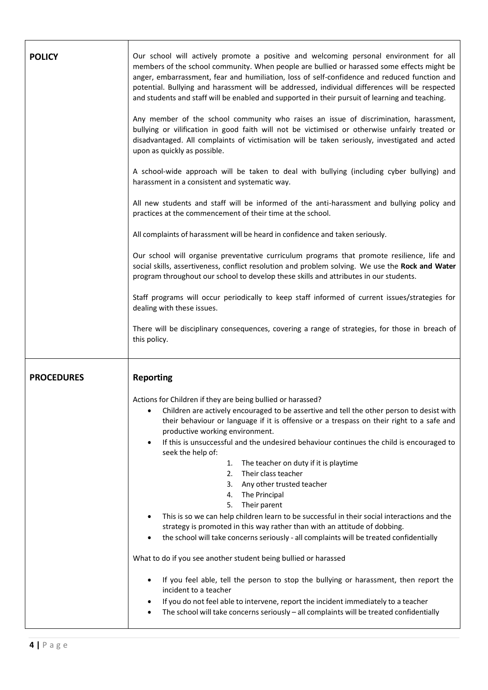| <b>POLICY</b>     | Our school will actively promote a positive and welcoming personal environment for all<br>members of the school community. When people are bullied or harassed some effects might be<br>anger, embarrassment, fear and humiliation, loss of self-confidence and reduced function and<br>potential. Bullying and harassment will be addressed, individual differences will be respected<br>and students and staff will be enabled and supported in their pursuit of learning and teaching.<br>Any member of the school community who raises an issue of discrimination, harassment,<br>bullying or vilification in good faith will not be victimised or otherwise unfairly treated or<br>disadvantaged. All complaints of victimisation will be taken seriously, investigated and acted<br>upon as quickly as possible.<br>A school-wide approach will be taken to deal with bullying (including cyber bullying) and<br>harassment in a consistent and systematic way.<br>All new students and staff will be informed of the anti-harassment and bullying policy and<br>practices at the commencement of their time at the school.<br>All complaints of harassment will be heard in confidence and taken seriously.<br>Our school will organise preventative curriculum programs that promote resilience, life and<br>social skills, assertiveness, conflict resolution and problem solving. We use the Rock and Water<br>program throughout our school to develop these skills and attributes in our students.<br>Staff programs will occur periodically to keep staff informed of current issues/strategies for<br>dealing with these issues.<br>There will be disciplinary consequences, covering a range of strategies, for those in breach of |
|-------------------|---------------------------------------------------------------------------------------------------------------------------------------------------------------------------------------------------------------------------------------------------------------------------------------------------------------------------------------------------------------------------------------------------------------------------------------------------------------------------------------------------------------------------------------------------------------------------------------------------------------------------------------------------------------------------------------------------------------------------------------------------------------------------------------------------------------------------------------------------------------------------------------------------------------------------------------------------------------------------------------------------------------------------------------------------------------------------------------------------------------------------------------------------------------------------------------------------------------------------------------------------------------------------------------------------------------------------------------------------------------------------------------------------------------------------------------------------------------------------------------------------------------------------------------------------------------------------------------------------------------------------------------------------------------------------------------------------------------------------------------------------|
|                   | this policy.                                                                                                                                                                                                                                                                                                                                                                                                                                                                                                                                                                                                                                                                                                                                                                                                                                                                                                                                                                                                                                                                                                                                                                                                                                                                                                                                                                                                                                                                                                                                                                                                                                                                                                                                      |
| <b>PROCEDURES</b> | <b>Reporting</b>                                                                                                                                                                                                                                                                                                                                                                                                                                                                                                                                                                                                                                                                                                                                                                                                                                                                                                                                                                                                                                                                                                                                                                                                                                                                                                                                                                                                                                                                                                                                                                                                                                                                                                                                  |
|                   | Actions for Children if they are being bullied or harassed?<br>Children are actively encouraged to be assertive and tell the other person to desist with<br>their behaviour or language if it is offensive or a trespass on their right to a safe and<br>productive working environment.<br>If this is unsuccessful and the undesired behaviour continues the child is encouraged to<br>$\bullet$<br>seek the help of:<br>The teacher on duty if it is playtime<br>1.<br>Their class teacher<br>2.<br>3. Any other trusted teacher<br>The Principal<br>4.<br>Their parent<br>5.<br>This is so we can help children learn to be successful in their social interactions and the<br>strategy is promoted in this way rather than with an attitude of dobbing.<br>the school will take concerns seriously - all complaints will be treated confidentially<br>What to do if you see another student being bullied or harassed<br>If you feel able, tell the person to stop the bullying or harassment, then report the<br>incident to a teacher<br>If you do not feel able to intervene, report the incident immediately to a teacher<br>٠<br>The school will take concerns seriously - all complaints will be treated confidentially                                                                                                                                                                                                                                                                                                                                                                                                                                                                                                                 |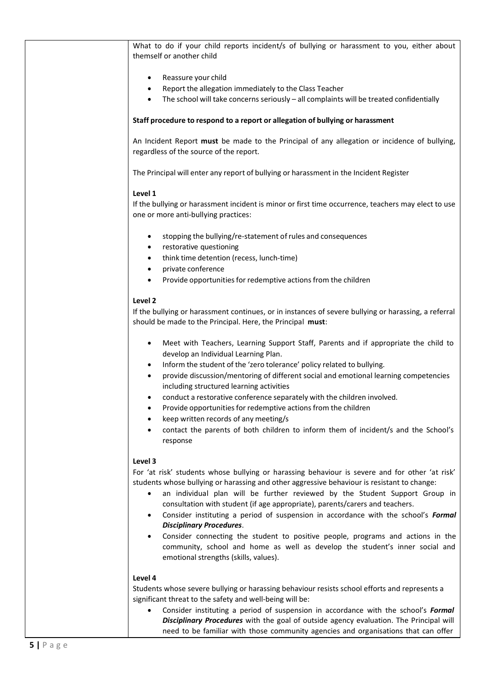| What to do if your child reports incident/s of bullying or harassment to you, either about<br>themself or another child                                                                                                                                                                                                                                                                                                                                                                                                                                                                                                                                                                                                                     |
|---------------------------------------------------------------------------------------------------------------------------------------------------------------------------------------------------------------------------------------------------------------------------------------------------------------------------------------------------------------------------------------------------------------------------------------------------------------------------------------------------------------------------------------------------------------------------------------------------------------------------------------------------------------------------------------------------------------------------------------------|
| Reassure your child<br>٠<br>Report the allegation immediately to the Class Teacher<br>$\bullet$<br>The school will take concerns seriously $-$ all complaints will be treated confidentially<br>٠<br>Staff procedure to respond to a report or allegation of bullying or harassment                                                                                                                                                                                                                                                                                                                                                                                                                                                         |
|                                                                                                                                                                                                                                                                                                                                                                                                                                                                                                                                                                                                                                                                                                                                             |
| An Incident Report must be made to the Principal of any allegation or incidence of bullying,<br>regardless of the source of the report.                                                                                                                                                                                                                                                                                                                                                                                                                                                                                                                                                                                                     |
| The Principal will enter any report of bullying or harassment in the Incident Register                                                                                                                                                                                                                                                                                                                                                                                                                                                                                                                                                                                                                                                      |
| Level 1<br>If the bullying or harassment incident is minor or first time occurrence, teachers may elect to use<br>one or more anti-bullying practices:                                                                                                                                                                                                                                                                                                                                                                                                                                                                                                                                                                                      |
| stopping the bullying/re-statement of rules and consequences<br>٠<br>restorative questioning<br>$\bullet$                                                                                                                                                                                                                                                                                                                                                                                                                                                                                                                                                                                                                                   |
| think time detention (recess, lunch-time)<br>٠                                                                                                                                                                                                                                                                                                                                                                                                                                                                                                                                                                                                                                                                                              |
| private conference<br>٠<br>Provide opportunities for redemptive actions from the children<br>٠                                                                                                                                                                                                                                                                                                                                                                                                                                                                                                                                                                                                                                              |
| Level 2<br>If the bullying or harassment continues, or in instances of severe bullying or harassing, a referral<br>should be made to the Principal. Here, the Principal must:                                                                                                                                                                                                                                                                                                                                                                                                                                                                                                                                                               |
| Meet with Teachers, Learning Support Staff, Parents and if appropriate the child to<br>develop an Individual Learning Plan.<br>Inform the student of the 'zero tolerance' policy related to bullying.<br>$\bullet$<br>provide discussion/mentoring of different social and emotional learning competencies<br>٠<br>including structured learning activities<br>conduct a restorative conference separately with the children involved.<br>Provide opportunities for redemptive actions from the children<br>keep written records of any meeting/s<br>contact the parents of both children to inform them of incident/s and the School's<br>$\bullet$<br>response                                                                            |
| Level 3<br>For 'at risk' students whose bullying or harassing behaviour is severe and for other 'at risk'<br>students whose bullying or harassing and other aggressive behaviour is resistant to change:<br>an individual plan will be further reviewed by the Student Support Group in<br>$\bullet$<br>consultation with student (if age appropriate), parents/carers and teachers.<br>Consider instituting a period of suspension in accordance with the school's Formal<br>$\bullet$<br><b>Disciplinary Procedures.</b><br>Consider connecting the student to positive people, programs and actions in the<br>٠<br>community, school and home as well as develop the student's inner social and<br>emotional strengths (skills, values). |
| Level 4<br>Students whose severe bullying or harassing behaviour resists school efforts and represents a<br>significant threat to the safety and well-being will be:<br>Consider instituting a period of suspension in accordance with the school's Formal<br>$\bullet$                                                                                                                                                                                                                                                                                                                                                                                                                                                                     |

*Disciplinary Procedures* with the goal of outside agency evaluation. The Principal will need to be familiar with those community agencies and organisations that can offer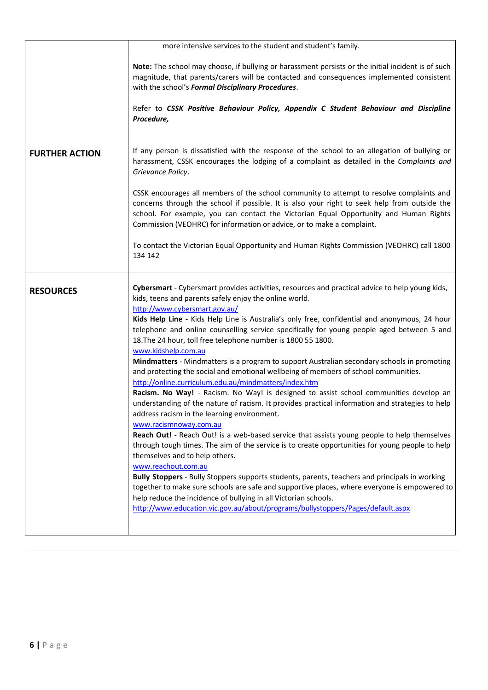|                       | more intensive services to the student and student's family.                                                                                                                                                                                                                                                                                                                                                                                                                                                                                                                                                                                                                                                                                                                                                                                                                                                                                                                                                                                                                                                                                                                                                                                                                                                                                                                                                                                                                                                                                                                                                           |
|-----------------------|------------------------------------------------------------------------------------------------------------------------------------------------------------------------------------------------------------------------------------------------------------------------------------------------------------------------------------------------------------------------------------------------------------------------------------------------------------------------------------------------------------------------------------------------------------------------------------------------------------------------------------------------------------------------------------------------------------------------------------------------------------------------------------------------------------------------------------------------------------------------------------------------------------------------------------------------------------------------------------------------------------------------------------------------------------------------------------------------------------------------------------------------------------------------------------------------------------------------------------------------------------------------------------------------------------------------------------------------------------------------------------------------------------------------------------------------------------------------------------------------------------------------------------------------------------------------------------------------------------------------|
|                       | Note: The school may choose, if bullying or harassment persists or the initial incident is of such<br>magnitude, that parents/carers will be contacted and consequences implemented consistent<br>with the school's Formal Disciplinary Procedures.<br>Refer to CSSK Positive Behaviour Policy, Appendix C Student Behaviour and Discipline<br>Procedure,                                                                                                                                                                                                                                                                                                                                                                                                                                                                                                                                                                                                                                                                                                                                                                                                                                                                                                                                                                                                                                                                                                                                                                                                                                                              |
| <b>FURTHER ACTION</b> | If any person is dissatisfied with the response of the school to an allegation of bullying or<br>harassment, CSSK encourages the lodging of a complaint as detailed in the Complaints and<br>Grievance Policy.                                                                                                                                                                                                                                                                                                                                                                                                                                                                                                                                                                                                                                                                                                                                                                                                                                                                                                                                                                                                                                                                                                                                                                                                                                                                                                                                                                                                         |
|                       | CSSK encourages all members of the school community to attempt to resolve complaints and<br>concerns through the school if possible. It is also your right to seek help from outside the<br>school. For example, you can contact the Victorian Equal Opportunity and Human Rights<br>Commission (VEOHRC) for information or advice, or to make a complaint.                                                                                                                                                                                                                                                                                                                                                                                                                                                                                                                                                                                                                                                                                                                                                                                                                                                                                                                                                                                                                                                                                                                                                                                                                                                            |
|                       | To contact the Victorian Equal Opportunity and Human Rights Commission (VEOHRC) call 1800<br>134 142                                                                                                                                                                                                                                                                                                                                                                                                                                                                                                                                                                                                                                                                                                                                                                                                                                                                                                                                                                                                                                                                                                                                                                                                                                                                                                                                                                                                                                                                                                                   |
| <b>RESOURCES</b>      | Cybersmart - Cybersmart provides activities, resources and practical advice to help young kids,<br>kids, teens and parents safely enjoy the online world.<br>http://www.cybersmart.gov.au/<br>Kids Help Line - Kids Help Line is Australia's only free, confidential and anonymous, 24 hour<br>telephone and online counselling service specifically for young people aged between 5 and<br>18. The 24 hour, toll free telephone number is 1800 55 1800.<br>www.kidshelp.com.au<br>Mindmatters - Mindmatters is a program to support Australian secondary schools in promoting<br>and protecting the social and emotional wellbeing of members of school communities.<br>http://online.curriculum.edu.au/mindmatters/index.htm<br>Racism. No Way! - Racism. No Way! is designed to assist school communities develop an<br>understanding of the nature of racism. It provides practical information and strategies to help<br>address racism in the learning environment.<br>www.racismnoway.com.au<br>Reach Out! - Reach Out! is a web-based service that assists young people to help themselves<br>through tough times. The aim of the service is to create opportunities for young people to help<br>themselves and to help others.<br>www.reachout.com.au<br>Bully Stoppers - Bully Stoppers supports students, parents, teachers and principals in working<br>together to make sure schools are safe and supportive places, where everyone is empowered to<br>help reduce the incidence of bullying in all Victorian schools.<br>http://www.education.vic.gov.au/about/programs/bullystoppers/Pages/default.aspx |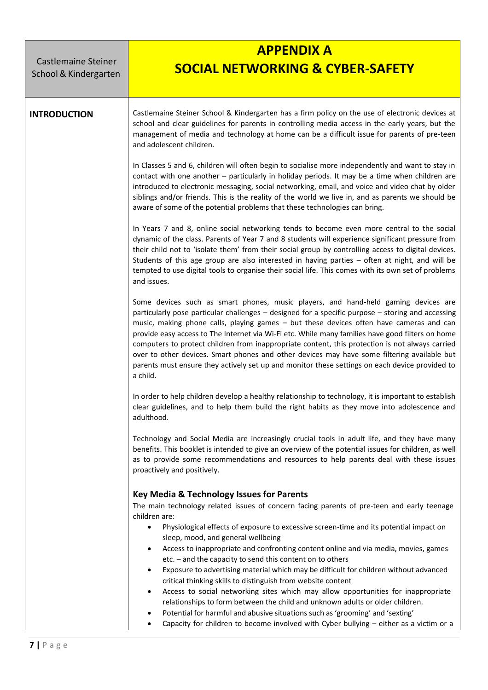Castlemaine Steiner School& Kindergarten

## **APPENDIX A SOCIAL NETWORKING & CYBER-SAFETY**

**INTRODUCTION** | Castlemaine Steiner School & Kindergarten has a firm policy on the use of electronic devices at school and clear guidelines for parents in controlling media access in the early years, but the management of media and technology at home can be a difficult issue for parents of pre-teen and adolescent children.

> In Classes 5 and 6, children will often begin to socialise more independently and want to stay in contact with one another – particularly in holiday periods. It may be a time when children are introduced to electronic messaging, social networking, email, and voice and video chat by older siblings and/or friends. This is the reality of the world we live in, and as parents we should be aware of some of the potential problems that these technologies can bring.

> In Years 7 and 8, online social networking tends to become even more central to the social dynamic of the class. Parents of Year 7 and 8 students will experience significant pressure from their child not to 'isolate them' from their social group by controlling access to digital devices. Students of this age group are also interested in having parties – often at night, and will be tempted to use digital tools to organise their social life. This comes with its own set of problems and issues.

> Some devices such as smart phones, music players, and hand-held gaming devices are particularly pose particular challenges – designed for a specific purpose – storing and accessing music, making phone calls, playing games – but these devices often have cameras and can provide easy access to The Internet via Wi-Fi etc. While many families have good filters on home computers to protect children from inappropriate content, this protection is not always carried over to other devices. Smart phones and other devices may have some filtering available but parents must ensure they actively set up and monitor these settings on each device provided to a child.

> In order to help children develop a healthy relationship to technology, it is important to establish clear guidelines, and to help them build the right habits as they move into adolescence and adulthood.

> Technology and Social Media are increasingly crucial tools in adult life, and they have many benefits. This booklet is intended to give an overview of the potential issues for children, as well as to provide some recommendations and resources to help parents deal with these issues proactively and positively.

## **Key Media & Technology Issues for Parents**

The main technology related issues of concern facing parents of pre-teen and early teenage children are:

- Physiological effects of exposure to excessive screen-time and its potential impact on sleep, mood, and general wellbeing
- Access to inappropriate and confronting content online and via media, movies, games etc. – and the capacity to send this content on to others
- Exposure to advertising material which may be difficult for children without advanced critical thinking skills to distinguish from website content
- Access to social networking sites which may allow opportunities for inappropriate relationships to form between the child and unknown adults or older children.
- Potential for harmful and abusive situations such as 'grooming' and 'sexting'
- Capacity for children to become involved with Cyber bullying either as a victim or a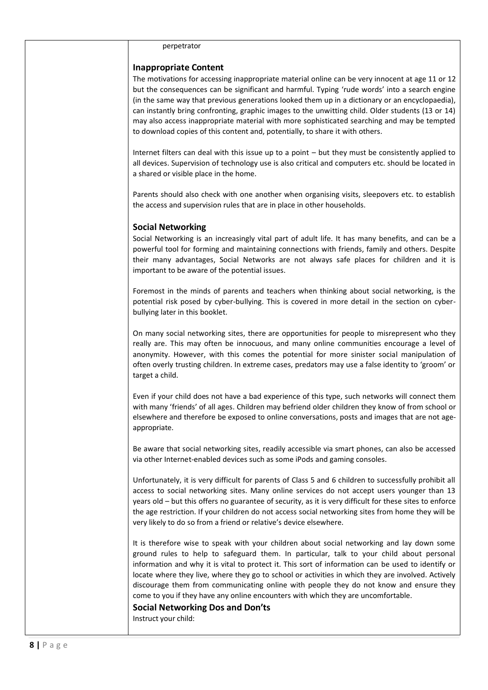| perpetrator                                                                                                                                                                                                                                                                                                                                                                                                                                                                                                                                                                                                                                          |
|------------------------------------------------------------------------------------------------------------------------------------------------------------------------------------------------------------------------------------------------------------------------------------------------------------------------------------------------------------------------------------------------------------------------------------------------------------------------------------------------------------------------------------------------------------------------------------------------------------------------------------------------------|
| <b>Inappropriate Content</b><br>The motivations for accessing inappropriate material online can be very innocent at age 11 or 12<br>but the consequences can be significant and harmful. Typing 'rude words' into a search engine<br>(in the same way that previous generations looked them up in a dictionary or an encyclopaedia),<br>can instantly bring confronting, graphic images to the unwitting child. Older students (13 or 14)<br>may also access inappropriate material with more sophisticated searching and may be tempted<br>to download copies of this content and, potentially, to share it with others.                            |
| Internet filters can deal with this issue up to a point - but they must be consistently applied to<br>all devices. Supervision of technology use is also critical and computers etc. should be located in<br>a shared or visible place in the home.                                                                                                                                                                                                                                                                                                                                                                                                  |
| Parents should also check with one another when organising visits, sleepovers etc. to establish<br>the access and supervision rules that are in place in other households.                                                                                                                                                                                                                                                                                                                                                                                                                                                                           |
| <b>Social Networking</b><br>Social Networking is an increasingly vital part of adult life. It has many benefits, and can be a<br>powerful tool for forming and maintaining connections with friends, family and others. Despite<br>their many advantages, Social Networks are not always safe places for children and it is<br>important to be aware of the potential issues.                                                                                                                                                                                                                                                                        |
| Foremost in the minds of parents and teachers when thinking about social networking, is the<br>potential risk posed by cyber-bullying. This is covered in more detail in the section on cyber-<br>bullying later in this booklet.                                                                                                                                                                                                                                                                                                                                                                                                                    |
| On many social networking sites, there are opportunities for people to misrepresent who they<br>really are. This may often be innocuous, and many online communities encourage a level of<br>anonymity. However, with this comes the potential for more sinister social manipulation of<br>often overly trusting children. In extreme cases, predators may use a false identity to 'groom' or<br>target a child.                                                                                                                                                                                                                                     |
| Even if your child does not have a bad experience of this type, such networks will connect them<br>with many 'friends' of all ages. Children may befriend older children they know of from school or<br>elsewhere and therefore be exposed to online conversations, posts and images that are not age-<br>appropriate.                                                                                                                                                                                                                                                                                                                               |
| Be aware that social networking sites, readily accessible via smart phones, can also be accessed<br>via other Internet-enabled devices such as some iPods and gaming consoles.                                                                                                                                                                                                                                                                                                                                                                                                                                                                       |
| Unfortunately, it is very difficult for parents of Class 5 and 6 children to successfully prohibit all<br>access to social networking sites. Many online services do not accept users younger than 13<br>years old - but this offers no guarantee of security, as it is very difficult for these sites to enforce<br>the age restriction. If your children do not access social networking sites from home they will be<br>very likely to do so from a friend or relative's device elsewhere.                                                                                                                                                        |
| It is therefore wise to speak with your children about social networking and lay down some<br>ground rules to help to safeguard them. In particular, talk to your child about personal<br>information and why it is vital to protect it. This sort of information can be used to identify or<br>locate where they live, where they go to school or activities in which they are involved. Actively<br>discourage them from communicating online with people they do not know and ensure they<br>come to you if they have any online encounters with which they are uncomfortable.<br><b>Social Networking Dos and Don'ts</b><br>Instruct your child: |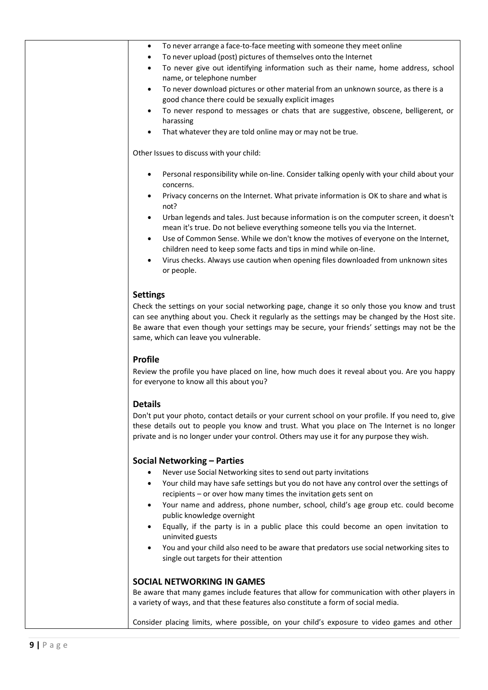| $\bullet$                        | To never give out identifying information such as their name, home address, school                                                                                                                                               |
|----------------------------------|----------------------------------------------------------------------------------------------------------------------------------------------------------------------------------------------------------------------------------|
|                                  | name, or telephone number                                                                                                                                                                                                        |
| $\bullet$                        | To never download pictures or other material from an unknown source, as there is a<br>good chance there could be sexually explicit images                                                                                        |
| $\bullet$                        | To never respond to messages or chats that are suggestive, obscene, belligerent, or                                                                                                                                              |
| $\bullet$                        | harassing<br>That whatever they are told online may or may not be true.                                                                                                                                                          |
|                                  |                                                                                                                                                                                                                                  |
|                                  | Other Issues to discuss with your child:                                                                                                                                                                                         |
| $\bullet$                        | Personal responsibility while on-line. Consider talking openly with your child about your<br>concerns.                                                                                                                           |
| $\bullet$                        | Privacy concerns on the Internet. What private information is OK to share and what is                                                                                                                                            |
|                                  | not?                                                                                                                                                                                                                             |
| $\bullet$                        | Urban legends and tales. Just because information is on the computer screen, it doesn't<br>mean it's true. Do not believe everything someone tells you via the Internet.                                                         |
| $\bullet$                        | Use of Common Sense. While we don't know the motives of everyone on the Internet,                                                                                                                                                |
|                                  | children need to keep some facts and tips in mind while on-line.                                                                                                                                                                 |
|                                  | Virus checks. Always use caution when opening files downloaded from unknown sites<br>or people.                                                                                                                                  |
|                                  |                                                                                                                                                                                                                                  |
| <b>Settings</b>                  | Check the settings on your social networking page, change it so only those you know and trust                                                                                                                                    |
|                                  | can see anything about you. Check it regularly as the settings may be changed by the Host site.                                                                                                                                  |
|                                  |                                                                                                                                                                                                                                  |
|                                  |                                                                                                                                                                                                                                  |
|                                  |                                                                                                                                                                                                                                  |
|                                  | same, which can leave you vulnerable.                                                                                                                                                                                            |
|                                  | Be aware that even though your settings may be secure, your friends' settings may not be the                                                                                                                                     |
|                                  |                                                                                                                                                                                                                                  |
|                                  | for everyone to know all this about you?                                                                                                                                                                                         |
|                                  |                                                                                                                                                                                                                                  |
| <b>Profile</b><br><b>Details</b> |                                                                                                                                                                                                                                  |
|                                  |                                                                                                                                                                                                                                  |
|                                  | private and is no longer under your control. Others may use it for any purpose they wish.                                                                                                                                        |
|                                  |                                                                                                                                                                                                                                  |
|                                  | <b>Social Networking - Parties</b>                                                                                                                                                                                               |
| $\bullet$                        | Never use Social Networking sites to send out party invitations<br>Your child may have safe settings but you do not have any control over the settings of                                                                        |
|                                  | recipients - or over how many times the invitation gets sent on                                                                                                                                                                  |
| ٠                                | Your name and address, phone number, school, child's age group etc. could become<br>public knowledge overnight                                                                                                                   |
| $\bullet$                        | Equally, if the party is in a public place this could become an open invitation to                                                                                                                                               |
|                                  | uninvited guests                                                                                                                                                                                                                 |
| $\bullet$                        | You and your child also need to be aware that predators use social networking sites to<br>single out targets for their attention                                                                                                 |
|                                  | Don't put your photo, contact details or your current school on your profile. If you need to, give                                                                                                                               |
|                                  | Review the profile you have placed on line, how much does it reveal about you. Are you happy<br>these details out to people you know and trust. What you place on The Internet is no longer<br><b>SOCIAL NETWORKING IN GAMES</b> |
|                                  | Be aware that many games include features that allow for communication with other players in<br>a variety of ways, and that these features also constitute a form of social media.                                               |
|                                  | Consider placing limits, where possible, on your child's exposure to video games and other                                                                                                                                       |

• To never arrange a face-to-face meeting with someone they meet online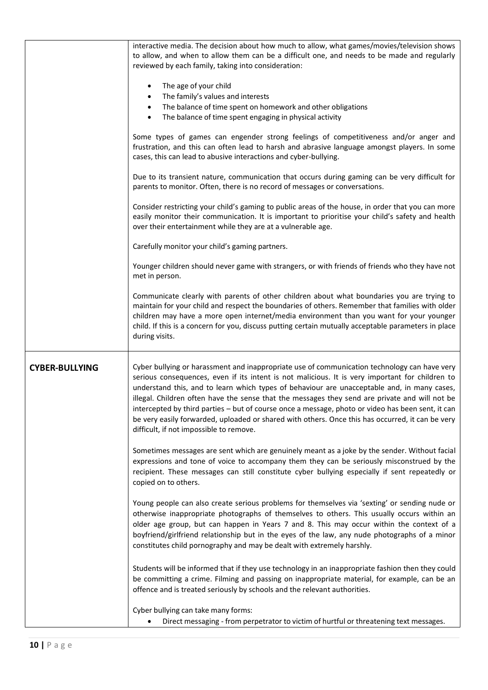|                       | interactive media. The decision about how much to allow, what games/movies/television shows                                                                                                                                                                                                                                                                                                                                                                                                                                                                                                                                                          |
|-----------------------|------------------------------------------------------------------------------------------------------------------------------------------------------------------------------------------------------------------------------------------------------------------------------------------------------------------------------------------------------------------------------------------------------------------------------------------------------------------------------------------------------------------------------------------------------------------------------------------------------------------------------------------------------|
|                       | to allow, and when to allow them can be a difficult one, and needs to be made and regularly<br>reviewed by each family, taking into consideration:                                                                                                                                                                                                                                                                                                                                                                                                                                                                                                   |
|                       | The age of your child                                                                                                                                                                                                                                                                                                                                                                                                                                                                                                                                                                                                                                |
|                       | The family's values and interests<br>The balance of time spent on homework and other obligations<br>٠                                                                                                                                                                                                                                                                                                                                                                                                                                                                                                                                                |
|                       | The balance of time spent engaging in physical activity<br>$\bullet$                                                                                                                                                                                                                                                                                                                                                                                                                                                                                                                                                                                 |
|                       | Some types of games can engender strong feelings of competitiveness and/or anger and<br>frustration, and this can often lead to harsh and abrasive language amongst players. In some<br>cases, this can lead to abusive interactions and cyber-bullying.                                                                                                                                                                                                                                                                                                                                                                                             |
|                       | Due to its transient nature, communication that occurs during gaming can be very difficult for<br>parents to monitor. Often, there is no record of messages or conversations.                                                                                                                                                                                                                                                                                                                                                                                                                                                                        |
|                       | Consider restricting your child's gaming to public areas of the house, in order that you can more<br>easily monitor their communication. It is important to prioritise your child's safety and health<br>over their entertainment while they are at a vulnerable age.                                                                                                                                                                                                                                                                                                                                                                                |
|                       | Carefully monitor your child's gaming partners.                                                                                                                                                                                                                                                                                                                                                                                                                                                                                                                                                                                                      |
|                       | Younger children should never game with strangers, or with friends of friends who they have not<br>met in person.                                                                                                                                                                                                                                                                                                                                                                                                                                                                                                                                    |
|                       | Communicate clearly with parents of other children about what boundaries you are trying to<br>maintain for your child and respect the boundaries of others. Remember that families with older<br>children may have a more open internet/media environment than you want for your younger<br>child. If this is a concern for you, discuss putting certain mutually acceptable parameters in place<br>during visits.                                                                                                                                                                                                                                   |
| <b>CYBER-BULLYING</b> | Cyber bullying or harassment and inappropriate use of communication technology can have very<br>serious consequences, even if its intent is not malicious. It is very important for children to<br>understand this, and to learn which types of behaviour are unacceptable and, in many cases,<br>illegal. Children often have the sense that the messages they send are private and will not be<br>intercepted by third parties - but of course once a message, photo or video has been sent, it can<br>be very easily forwarded, uploaded or shared with others. Once this has occurred, it can be very<br>difficult, if not impossible to remove. |
|                       | Sometimes messages are sent which are genuinely meant as a joke by the sender. Without facial<br>expressions and tone of voice to accompany them they can be seriously misconstrued by the<br>recipient. These messages can still constitute cyber bullying especially if sent repeatedly or<br>copied on to others.                                                                                                                                                                                                                                                                                                                                 |
|                       | Young people can also create serious problems for themselves via 'sexting' or sending nude or<br>otherwise inappropriate photographs of themselves to others. This usually occurs within an<br>older age group, but can happen in Years 7 and 8. This may occur within the context of a<br>boyfriend/girlfriend relationship but in the eyes of the law, any nude photographs of a minor<br>constitutes child pornography and may be dealt with extremely harshly.                                                                                                                                                                                   |
|                       | Students will be informed that if they use technology in an inappropriate fashion then they could<br>be committing a crime. Filming and passing on inappropriate material, for example, can be an<br>offence and is treated seriously by schools and the relevant authorities.                                                                                                                                                                                                                                                                                                                                                                       |
|                       | Cyber bullying can take many forms:                                                                                                                                                                                                                                                                                                                                                                                                                                                                                                                                                                                                                  |
|                       | Direct messaging - from perpetrator to victim of hurtful or threatening text messages.<br>٠                                                                                                                                                                                                                                                                                                                                                                                                                                                                                                                                                          |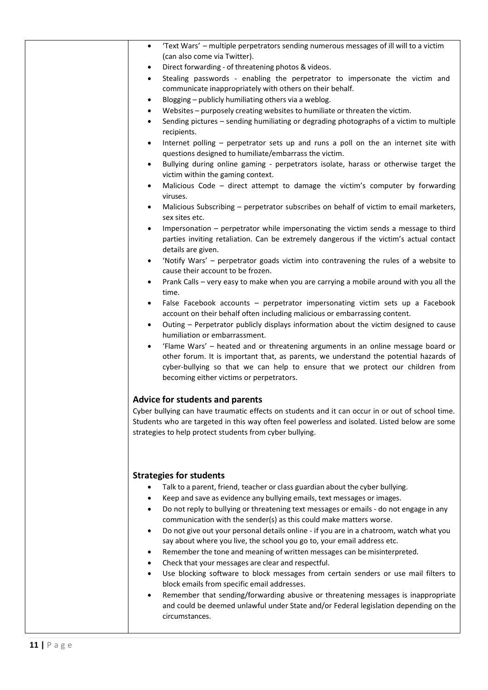| 'Text Wars' - multiple perpetrators sending numerous messages of ill will to a victim<br>$\bullet$                                                                                                                                                                                                                   |
|----------------------------------------------------------------------------------------------------------------------------------------------------------------------------------------------------------------------------------------------------------------------------------------------------------------------|
| (can also come via Twitter).                                                                                                                                                                                                                                                                                         |
| Direct forwarding - of threatening photos & videos.<br>$\bullet$                                                                                                                                                                                                                                                     |
| Stealing passwords - enabling the perpetrator to impersonate the victim and<br>$\bullet$<br>communicate inappropriately with others on their behalf.                                                                                                                                                                 |
| Blogging - publicly humiliating others via a weblog.<br>$\bullet$                                                                                                                                                                                                                                                    |
| Websites - purposely creating websites to humiliate or threaten the victim.<br>٠                                                                                                                                                                                                                                     |
| Sending pictures - sending humiliating or degrading photographs of a victim to multiple<br>$\bullet$<br>recipients.                                                                                                                                                                                                  |
| Internet polling - perpetrator sets up and runs a poll on the an internet site with<br>$\bullet$<br>questions designed to humiliate/embarrass the victim.                                                                                                                                                            |
| Bullying during online gaming - perpetrators isolate, harass or otherwise target the<br>$\bullet$<br>victim within the gaming context.                                                                                                                                                                               |
| Malicious Code - direct attempt to damage the victim's computer by forwarding<br>$\bullet$<br>viruses.                                                                                                                                                                                                               |
| Malicious Subscribing - perpetrator subscribes on behalf of victim to email marketers,<br>$\bullet$<br>sex sites etc.                                                                                                                                                                                                |
| Impersonation - perpetrator while impersonating the victim sends a message to third<br>$\bullet$<br>parties inviting retaliation. Can be extremely dangerous if the victim's actual contact<br>details are given.                                                                                                    |
| 'Notify Wars' - perpetrator goads victim into contravening the rules of a website to<br>$\bullet$<br>cause their account to be frozen.                                                                                                                                                                               |
| Prank Calls - very easy to make when you are carrying a mobile around with you all the<br>$\bullet$<br>time.                                                                                                                                                                                                         |
| False Facebook accounts - perpetrator impersonating victim sets up a Facebook<br>$\bullet$                                                                                                                                                                                                                           |
| account on their behalf often including malicious or embarrassing content.                                                                                                                                                                                                                                           |
| Outing - Perpetrator publicly displays information about the victim designed to cause<br>٠<br>humiliation or embarrassment.                                                                                                                                                                                          |
| 'Flame Wars' - heated and or threatening arguments in an online message board or<br>$\bullet$<br>other forum. It is important that, as parents, we understand the potential hazards of<br>cyber-bullying so that we can help to ensure that we protect our children from<br>becoming either victims or perpetrators. |
| <b>Advice for students and parents</b>                                                                                                                                                                                                                                                                               |
| Cyber bullying can have traumatic effects on students and it can occur in or out of school time.<br>Students who are targeted in this way often feel powerless and isolated. Listed below are some<br>strategies to help protect students from cyber bullying.                                                       |
| <b>Strategies for students</b>                                                                                                                                                                                                                                                                                       |
| Talk to a parent, friend, teacher or class guardian about the cyber bullying.                                                                                                                                                                                                                                        |
| Keep and save as evidence any bullying emails, text messages or images.                                                                                                                                                                                                                                              |
| Do not reply to bullying or threatening text messages or emails - do not engage in any<br>٠                                                                                                                                                                                                                          |
| communication with the sender(s) as this could make matters worse.                                                                                                                                                                                                                                                   |
| Do not give out your personal details online - if you are in a chatroom, watch what you<br>$\bullet$                                                                                                                                                                                                                 |
| say about where you live, the school you go to, your email address etc.                                                                                                                                                                                                                                              |
| Remember the tone and meaning of written messages can be misinterpreted.<br>٠                                                                                                                                                                                                                                        |
| Check that your messages are clear and respectful.<br>٠                                                                                                                                                                                                                                                              |
| Use blocking software to block messages from certain senders or use mail filters to<br>٠                                                                                                                                                                                                                             |
| block emails from specific email addresses.                                                                                                                                                                                                                                                                          |
| Remember that sending/forwarding abusive or threatening messages is inappropriate<br>٠<br>and could be deemed unlawful under State and/or Federal legislation depending on the<br>circumstances.                                                                                                                     |
|                                                                                                                                                                                                                                                                                                                      |